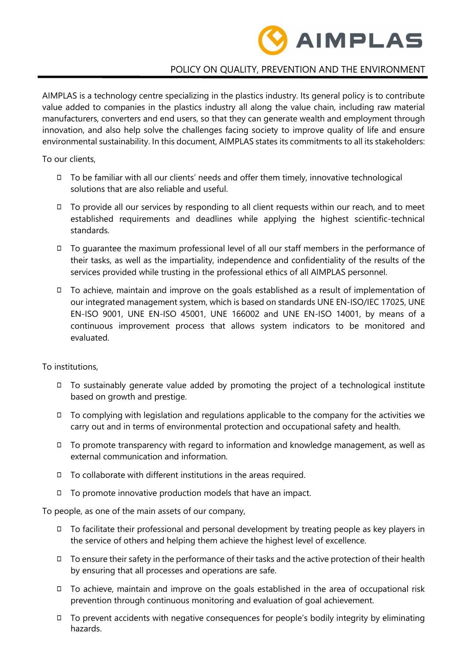

## POLICY ON QUALITY, PREVENTION AND THE ENVIRONMENT

AIMPLAS is a technology centre specializing in the plastics industry. Its general policy is to contribute value added to companies in the plastics industry all along the value chain, including raw material manufacturers, converters and end users, so that they can generate wealth and employment through innovation, and also help solve the challenges facing society to improve quality of life and ensure environmental sustainability. In this document, AIMPLAS states its commitments to all its stakeholders:

To our clients,

- ◻ To be familiar with all our clients' needs and offer them timely, innovative technological solutions that are also reliable and useful.
- ◻ To provide all our services by responding to all client requests within our reach, and to meet established requirements and deadlines while applying the highest scientific-technical standards.
- ◻ To guarantee the maximum professional level of all our staff members in the performance of their tasks, as well as the impartiality, independence and confidentiality of the results of the services provided while trusting in the professional ethics of all AIMPLAS personnel.
- ◻ To achieve, maintain and improve on the goals established as a result of implementation of our integrated management system, which is based on standards UNE EN-ISO/IEC 17025, UNE EN-ISO 9001, UNE EN-ISO 45001, UNE 166002 and UNE EN-ISO 14001, by means of a continuous improvement process that allows system indicators to be monitored and evaluated.

To institutions,

- ◻ To sustainably generate value added by promoting the project of a technological institute based on growth and prestige.
- ◻ To complying with legislation and regulations applicable to the company for the activities we carry out and in terms of environmental protection and occupational safety and health.
- ◻ To promote transparency with regard to information and knowledge management, as well as external communication and information.
- $\Box$  To collaborate with different institutions in the areas required.
- ◻ To promote innovative production models that have an impact.

To people, as one of the main assets of our company,

- ◻ To facilitate their professional and personal development by treating people as key players in the service of others and helping them achieve the highest level of excellence.
- ◻ To ensure their safety in the performance of their tasks and the active protection of their health by ensuring that all processes and operations are safe.
- ◻ To achieve, maintain and improve on the goals established in the area of occupational risk prevention through continuous monitoring and evaluation of goal achievement.
- ◻ To prevent accidents with negative consequences for people's bodily integrity by eliminating hazards.